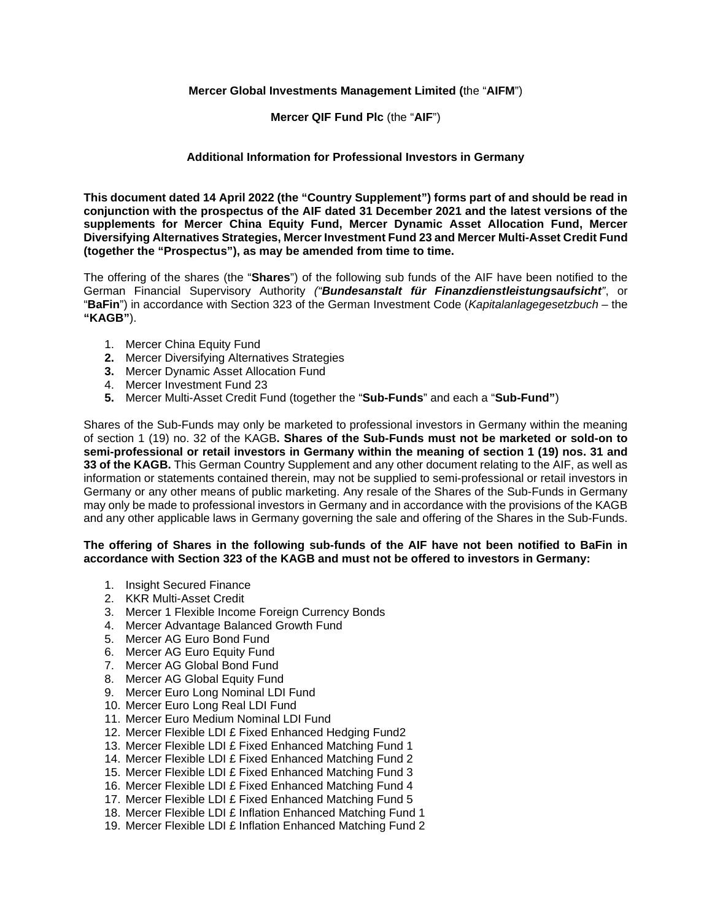## **Mercer Global Investments Management Limited (**the "**AIFM**")

### **Mercer QIF Fund Plc** (the "**AIF**")

# **Additional Information for Professional Investors in Germany**

**This document dated 14 April 2022 (the "Country Supplement") forms part of and should be read in conjunction with the prospectus of the AIF dated 31 December 2021 and the latest versions of the supplements for Mercer China Equity Fund, Mercer Dynamic Asset Allocation Fund, Mercer Diversifying Alternatives Strategies, Mercer Investment Fund 23 and Mercer Multi-Asset Credit Fund (together the "Prospectus"), as may be amended from time to time.** 

The offering of the shares (the "**Shares**") of the following sub funds of the AIF have been notified to the German Financial Supervisory Authority *("Bundesanstalt für Finanzdienstleistungsaufsicht"*, or "**BaFin**") in accordance with Section 323 of the German Investment Code (*Kapitalanlagegesetzbuch* – the **"KAGB"**).

- 1. Mercer China Equity Fund
- **2.** Mercer Diversifying Alternatives Strategies
- **3.** Mercer Dynamic Asset Allocation Fund
- 4. Mercer Investment Fund 23
- **5.** Mercer Multi-Asset Credit Fund (together the "**Sub-Funds**" and each a "**Sub-Fund"**)

Shares of the Sub-Funds may only be marketed to professional investors in Germany within the meaning of section 1 (19) no. 32 of the KAGB**. Shares of the Sub-Funds must not be marketed or sold-on to semi-professional or retail investors in Germany within the meaning of section 1 (19) nos. 31 and 33 of the KAGB.** This German Country Supplement and any other document relating to the AIF, as well as information or statements contained therein, may not be supplied to semi-professional or retail investors in Germany or any other means of public marketing. Any resale of the Shares of the Sub-Funds in Germany may only be made to professional investors in Germany and in accordance with the provisions of the KAGB and any other applicable laws in Germany governing the sale and offering of the Shares in the Sub-Funds.

### **The offering of Shares in the following sub-funds of the AIF have not been notified to BaFin in accordance with Section 323 of the KAGB and must not be offered to investors in Germany:**

- 1. Insight Secured Finance
- 2. KKR Multi-Asset Credit
- 3. Mercer 1 Flexible Income Foreign Currency Bonds
- 4. Mercer Advantage Balanced Growth Fund
- 5. Mercer AG Euro Bond Fund
- 6. Mercer AG Euro Equity Fund
- 7. Mercer AG Global Bond Fund
- 8. Mercer AG Global Equity Fund
- 9. Mercer Euro Long Nominal LDI Fund
- 10. Mercer Euro Long Real LDI Fund
- 11. Mercer Euro Medium Nominal LDI Fund
- 12. Mercer Flexible LDI £ Fixed Enhanced Hedging Fund2
- 13. Mercer Flexible LDI £ Fixed Enhanced Matching Fund 1
- 14. Mercer Flexible LDI £ Fixed Enhanced Matching Fund 2
- 15. Mercer Flexible LDI £ Fixed Enhanced Matching Fund 3
- 16. Mercer Flexible LDI £ Fixed Enhanced Matching Fund 4
- 17. Mercer Flexible LDI £ Fixed Enhanced Matching Fund 5
- 18. Mercer Flexible LDI £ Inflation Enhanced Matching Fund 1
- 19. Mercer Flexible LDI £ Inflation Enhanced Matching Fund 2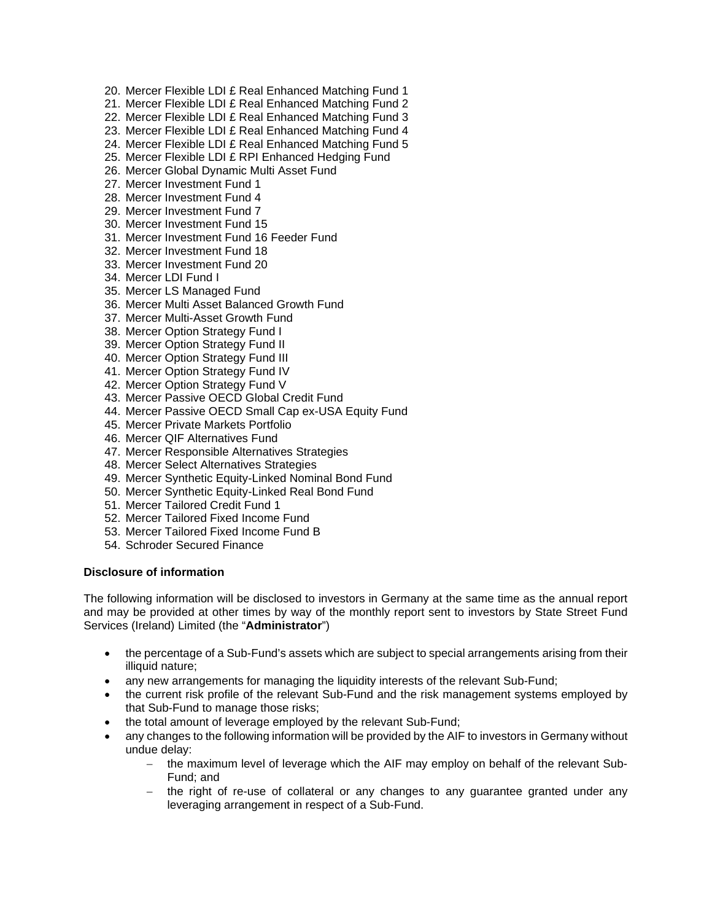- 20. Mercer Flexible LDI £ Real Enhanced Matching Fund 1
- 21. Mercer Flexible LDI £ Real Enhanced Matching Fund 2
- 22. Mercer Flexible LDI £ Real Enhanced Matching Fund 3
- 23. Mercer Flexible LDI £ Real Enhanced Matching Fund 4
- 24. Mercer Flexible LDI £ Real Enhanced Matching Fund 5
- 25. Mercer Flexible LDI £ RPI Enhanced Hedging Fund
- 26. Mercer Global Dynamic Multi Asset Fund
- 27. Mercer Investment Fund 1
- 28. Mercer Investment Fund 4
- 29. Mercer Investment Fund 7
- 30. Mercer Investment Fund 15
- 31. Mercer Investment Fund 16 Feeder Fund
- 32. Mercer Investment Fund 18
- 33. Mercer Investment Fund 20
- 34. Mercer LDI Fund I
- 35. Mercer LS Managed Fund
- 36. Mercer Multi Asset Balanced Growth Fund
- 37. Mercer Multi-Asset Growth Fund
- 38. Mercer Option Strategy Fund I
- 39. Mercer Option Strategy Fund II
- 40. Mercer Option Strategy Fund III
- 41. Mercer Option Strategy Fund IV
- 42. Mercer Option Strategy Fund V
- 43. Mercer Passive OECD Global Credit Fund
- 44. Mercer Passive OECD Small Cap ex-USA Equity Fund
- 45. Mercer Private Markets Portfolio
- 46. Mercer QIF Alternatives Fund
- 47. Mercer Responsible Alternatives Strategies
- 48. Mercer Select Alternatives Strategies
- 49. Mercer Synthetic Equity-Linked Nominal Bond Fund
- 50. Mercer Synthetic Equity-Linked Real Bond Fund
- 51. Mercer Tailored Credit Fund 1
- 52. Mercer Tailored Fixed Income Fund
- 53. Mercer Tailored Fixed Income Fund B
- 54. Schroder Secured Finance

#### **Disclosure of information**

The following information will be disclosed to investors in Germany at the same time as the annual report and may be provided at other times by way of the monthly report sent to investors by State Street Fund Services (Ireland) Limited (the "**Administrator**")

- the percentage of a Sub-Fund's assets which are subject to special arrangements arising from their illiquid nature;
- any new arrangements for managing the liquidity interests of the relevant Sub-Fund;
- the current risk profile of the relevant Sub-Fund and the risk management systems employed by that Sub-Fund to manage those risks;
- the total amount of leverage employed by the relevant Sub-Fund;
- any changes to the following information will be provided by the AIF to investors in Germany without undue delay:
	- the maximum level of leverage which the AIF may employ on behalf of the relevant Sub-Fund; and
	- the right of re-use of collateral or any changes to any guarantee granted under any leveraging arrangement in respect of a Sub-Fund.